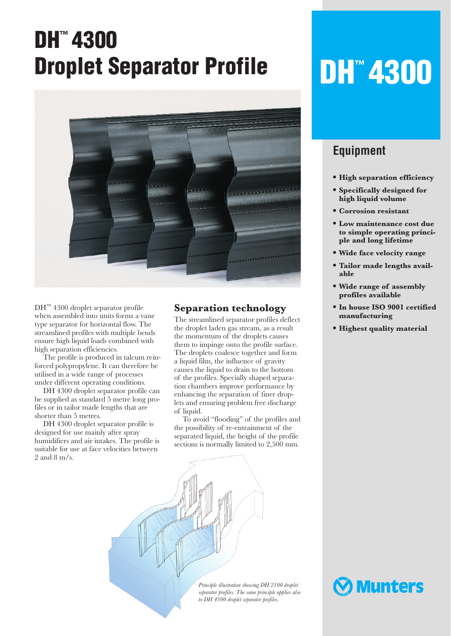## **DH™ 4300 Droplet Separator Profile**



DH™ 4300 droplet separator profile when assembled into units forms a vane type separator for horizontal flow. The streamlined profiles with multiple bends ensure high liquid loads combined with high separation efficiencies.

The profile is produced in talcum reinforced polypropylene. It can therefore be utilised in a wide range of processes under different operating conditions.

DH 4300 droplet separator profile can be supplied as standard 5 metre long profiles or in tailor made lengths that are shorter than 5 metres.

DH 4300 droplet separator profile is designed for use mainly after spray humidifiers and air intakes. The profile is suitable for use at face velocities between 2 and 8 m/s.

## **Separation technology**

The streamlined separator profiles deflect the droplet laden gas stream, as a result the momentum of the droplets causes them to impinge onto the profile surface. The droplets coalesce together and form a liquid film, the influence of gravity causes the liquid to drain to the bottom of the profiles. Specially shaped separation chambers improve performance by enhancing the separation of finer droplets and ensuring problem free discharge of liquid.

To avoid "flooding" of the profiles and the possibility of re-entrainment of the separated liquid, the height of the profile sections is normally limited to 2,500 mm.



# **DH™ 4300**

## **Equipment**

- **• High separation efficiency**
- **• Specifically designed for high liquid volume**
- **• Corrosion resistant**
- **• Low maintenance cost due to simple operating principle and long lifetime**
- **• Wide face velocity range**
- **• Tailor made lengths available**
- **• Wide range of assembly profiles available**
- **• In house ISO 9001 certified manufacturing**
- **• Highest quality material**